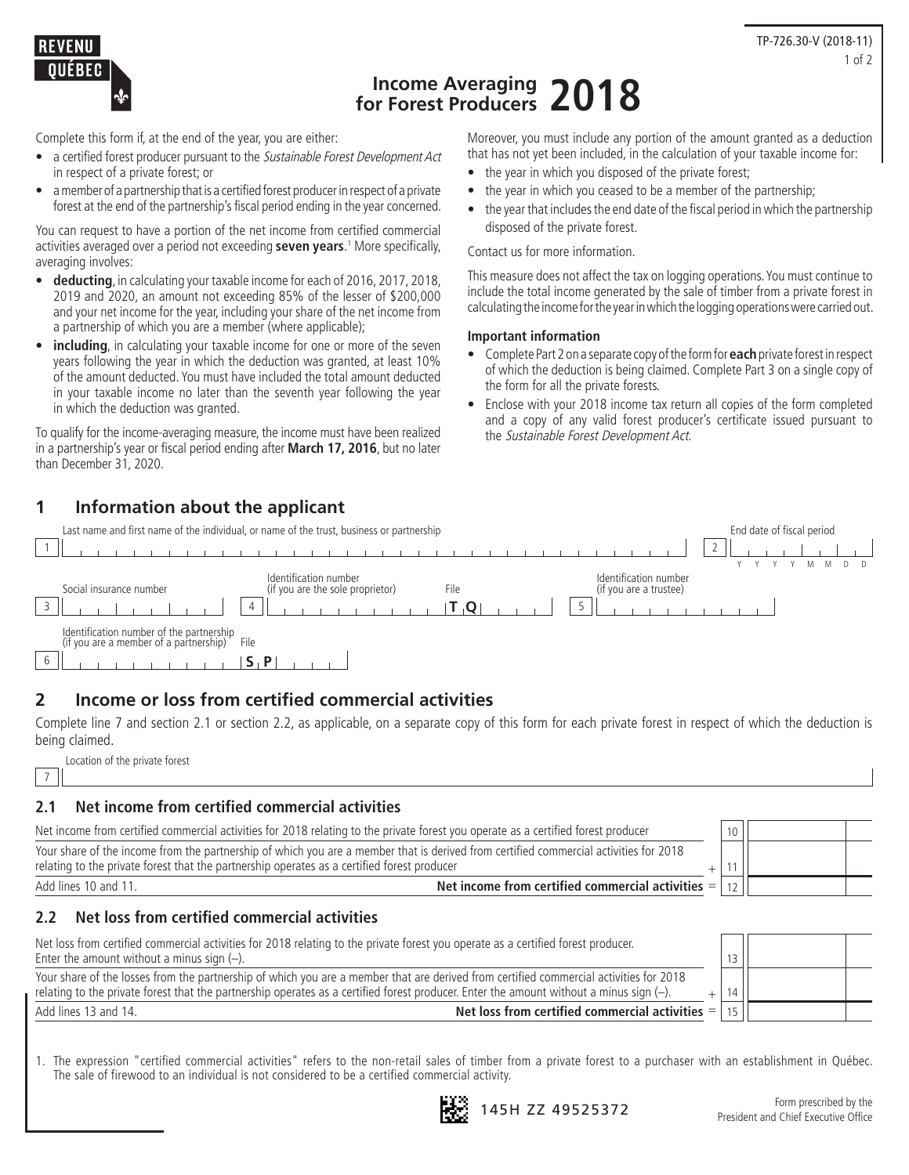

# **Income Averaging for Forest Producers 2018**

Complete this form if, at the end of the year, you are either:

- a certified forest producer pursuant to the Sustainable Forest Development Act in respect of a private forest; or
- a member of a partnership that is a certified forest producer in respect of a private forest at the end of the partnership's fiscal period ending in the year concerned.

You can request to have a portion of the net income from certified commercial activities averaged over a period not exceeding **seven years**. 1 More specifically, averaging involves:

- **deducting**, in calculating your taxable income for each of 2016, 2017, 2018, 2019 and 2020, an amount not exceeding 85% of the lesser of \$200,000 and your net income for the year, including your share of the net income from a partnership of which you are a member (where applicable);
- **including**, in calculating your taxable income for one or more of the seven years following the year in which the deduction was granted, at least 10% of the amount deducted. You must have included the total amount deducted in your taxable income no later than the seventh year following the year in which the deduction was granted.

To qualify for the income-averaging measure, the income must have been realized in a partnership's year or fiscal period ending after **March 17, 2016**, but no later than December 31, 2020.

**1 Information about the applicant**

Moreover, you must include any portion of the amount granted as a deduction that has not yet been included, in the calculation of your taxable income for:

- the year in which you disposed of the private forest;
- the year in which you ceased to be a member of the partnership;
- the year that includes the end date of the fiscal period in which the partnership disposed of the private forest.

Contact us for more information.

This measure does not affect the tax on logging operations. You must continue to include the total income generated by the sale of timber from a private forest in calculating the income for the year in which the logging operations were carried out.

#### **Important information**

- Complete Part 2 on a separate copy of the form for **each** private forest in respect of which the deduction is being claimed. Complete Part 3 on a single copy of the form for all the private forests.
- Enclose with your 2018 income tax return all copies of the form completed and a copy of any valid forest producer's certificate issued pursuant to the Sustainable Forest Development Act.

| Last name and first name of the individual, or name of the trust, business or partnership                                                       | End date of fiscal period |
|-------------------------------------------------------------------------------------------------------------------------------------------------|---------------------------|
|                                                                                                                                                 |                           |
| Identification number<br>Identification number<br>(if you are the sole proprietor)<br>Social insurance number<br>(if you are a trustee)<br>File |                           |
| Identification number of the partnership<br>(if you are a member of a partnership)<br>File                                                      |                           |

## **2 Income or loss from certified commercial activities**

Complete line 7 and section 2.1 or section 2.2, as applicable, on a separate copy of this form for each private forest in respect of which the deduction is being claimed.

Location of the private forest 7

### **2.1 Net income from certified commercial activities**

| Net income from certified commercial activities for 2018 relating to the private forest you operate as a certified forest producer                                                                                                   | 10 |  |
|--------------------------------------------------------------------------------------------------------------------------------------------------------------------------------------------------------------------------------------|----|--|
| Your share of the income from the partnership of which you are a member that is derived from certified commercial activities for 2018<br>relating to the private forest that the partnership operates as a certified forest producer |    |  |
| Net income from certified commercial activities $=$ $\vert$ 12<br>Add lines 10 and 11.                                                                                                                                               |    |  |

### **2.2 Net loss from certified commercial activities**

| Net loss from certified commercial activities for 2018 relating to the private forest you operate as a certified forest producer.<br>Enter the amount without a minus sign $(-)$ .                                                                                                | 13 |  |
|-----------------------------------------------------------------------------------------------------------------------------------------------------------------------------------------------------------------------------------------------------------------------------------|----|--|
| Your share of the losses from the partnership of which you are a member that are derived from certified commercial activities for 2018<br>relating to the private forest that the partnership operates as a certified forest producer. Enter the amount without a minus sign (-). | 14 |  |
| Net loss from certified commercial activities $=$   15  <br>Add lines 13 and 14.                                                                                                                                                                                                  |    |  |

1. The expression "certified commercial activities" refers to the non-retail sales of timber from a private forest to a purchaser with an establishment in Québec. The sale of firewood to an individual is not considered to be a certified commercial activity.